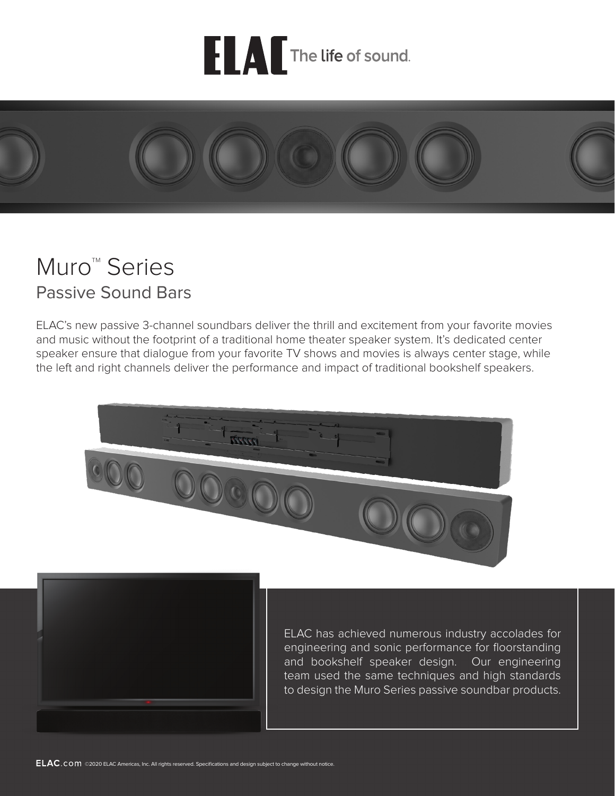



# Muro<sup>™</sup> Series Passive Sound Bars

ELAC's new passive 3-channel soundbars deliver the thrill and excitement from your favorite movies and music without the footprint of a traditional home theater speaker system. It's dedicated center speaker ensure that dialogue from your favorite TV shows and movies is always center stage, while the left and right channels deliver the performance and impact of traditional bookshelf speakers.





ELAC has achieved numerous industry accolades for engineering and sonic performance for floorstanding and bookshelf speaker design. Our engineering team used the same techniques and high standards to design the Muro Series passive soundbar products.